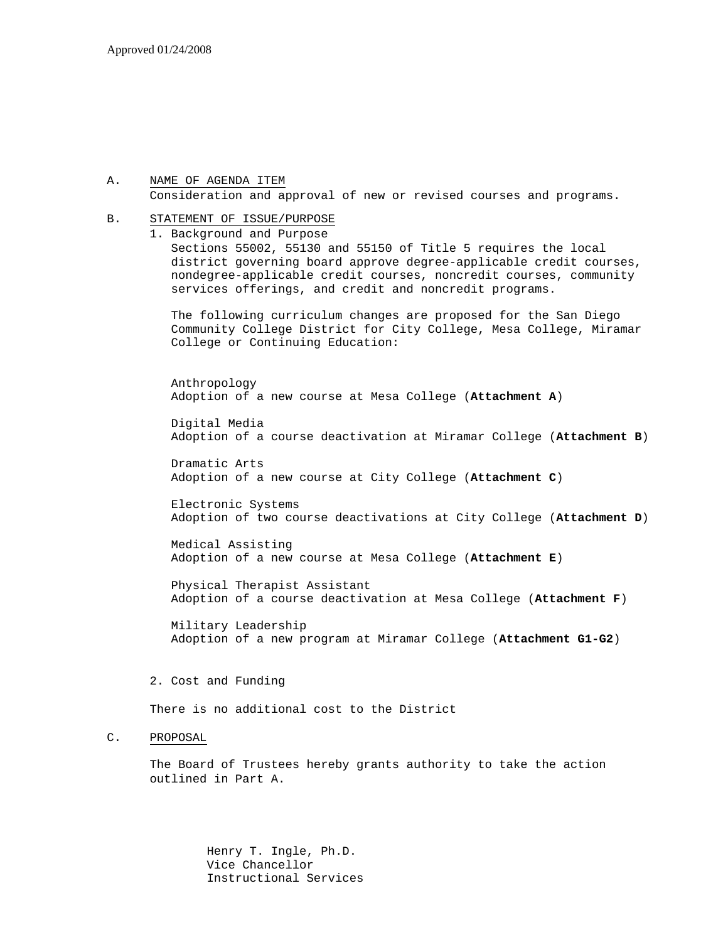#### A. NAME OF AGENDA ITEM Consideration and approval of new or revised courses and programs.

#### B. STATEMENT OF ISSUE/PURPOSE

1. Background and Purpose

Sections 55002, 55130 and 55150 of Title 5 requires the local district governing board approve degree-applicable credit courses, nondegree-applicable credit courses, noncredit courses, community services offerings, and credit and noncredit programs.

The following curriculum changes are proposed for the San Diego Community College District for City College, Mesa College, Miramar College or Continuing Education:

Anthropology Adoption of a new course at Mesa College (**Attachment A**)

Digital Media Adoption of a course deactivation at Miramar College (**Attachment B**)

Dramatic Arts Adoption of a new course at City College (**Attachment C**)

Electronic Systems Adoption of two course deactivations at City College (**Attachment D**)

Medical Assisting Adoption of a new course at Mesa College (**Attachment E**)

Physical Therapist Assistant Adoption of a course deactivation at Mesa College (**Attachment F**)

Military Leadership Adoption of a new program at Miramar College (**Attachment G1-G2**)

2. Cost and Funding

There is no additional cost to the District

#### C. PROPOSAL

The Board of Trustees hereby grants authority to take the action outlined in Part A.

> Henry T. Ingle, Ph.D. Vice Chancellor Instructional Services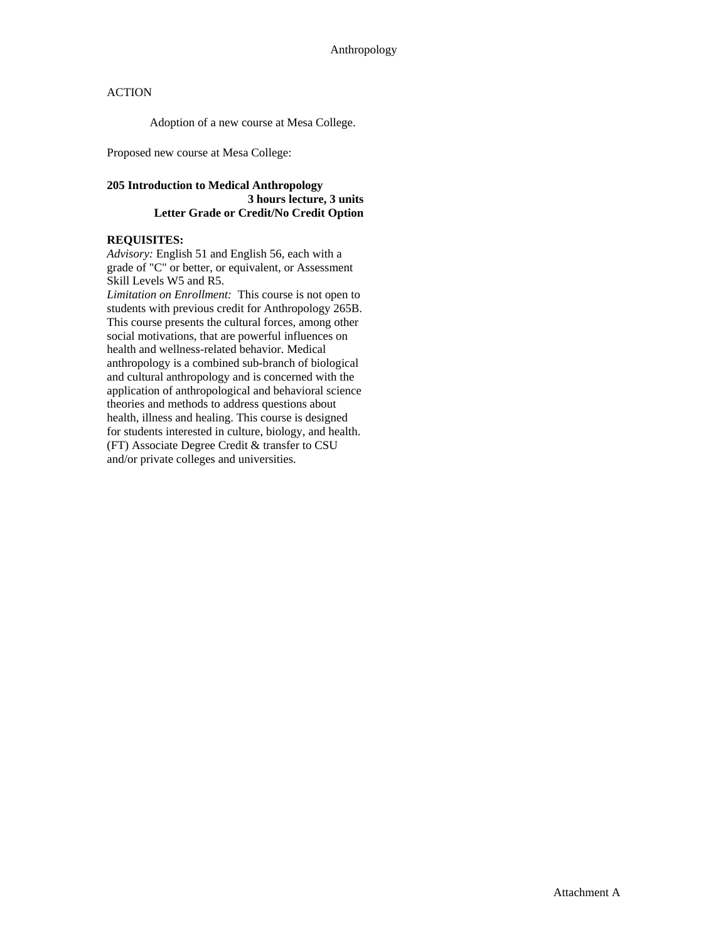Adoption of a new course at Mesa College.

Proposed new course at Mesa College:

## **205 Introduction to Medical Anthropology 3 hours lecture, 3 units Letter Grade or Credit/No Credit Option**

## **REQUISITES:**

*Advisory:* English 51 and English 56, each with a grade of "C" or better, or equivalent, or Assessment Skill Levels W5 and R5.

*Limitation on Enrollment:* This course is not open to students with previous credit for Anthropology 265B. This course presents the cultural forces, among other social motivations, that are powerful influences on health and wellness-related behavior. Medical anthropology is a combined sub-branch of biological and cultural anthropology and is concerned with the application of anthropological and behavioral science theories and methods to address questions about health, illness and healing. This course is designed for students interested in culture, biology, and health. (FT) Associate Degree Credit & transfer to CSU and/or private colleges and universities.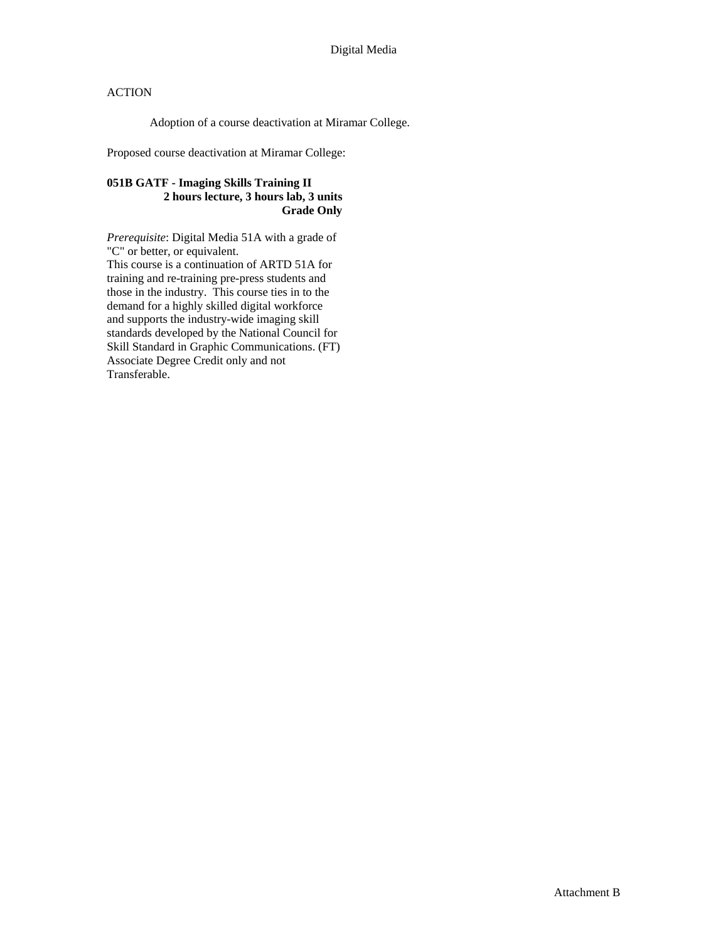Adoption of a course deactivation at Miramar College.

Proposed course deactivation at Miramar College:

## **051B GATF - Imaging Skills Training II 2 hours lecture, 3 hours lab, 3 units Grade Only**

*Prerequisite*: Digital Media 51A with a grade of "C" or better, or equivalent. This course is a continuation of ARTD 51A for training and re-training pre-press students and those in the industry. This course ties in to the demand for a highly skilled digital workforce and supports the industry-wide imaging skill standards developed by the National Council for Skill Standard in Graphic Communications. (FT) Associate Degree Credit only and not Transferable.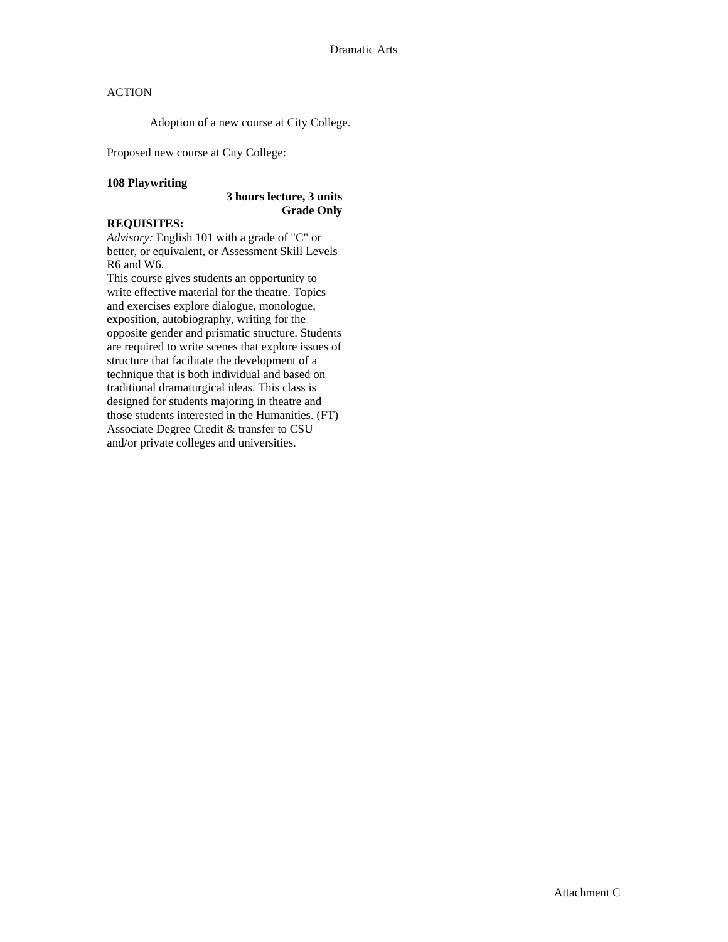Adoption of a new course at City College.

Proposed new course at City College:

#### **108 Playwriting**

#### **3 hours lecture, 3 units Grade Only**

# **REQUISITES:**

*Advisory:* English 101 with a grade of "C" or better, or equivalent, or Assessment Skill Levels R6 and W6.

This course gives students an opportunity to write effective material for the theatre. Topics and exercises explore dialogue, monologue, exposition, autobiography, writing for the opposite gender and prismatic structure. Students are required to write scenes that explore issues of structure that facilitate the development of a technique that is both individual and based on traditional dramaturgical ideas. This class is designed for students majoring in theatre and those students interested in the Humanities. (FT) Associate Degree Credit & transfer to CSU and/or private colleges and universities.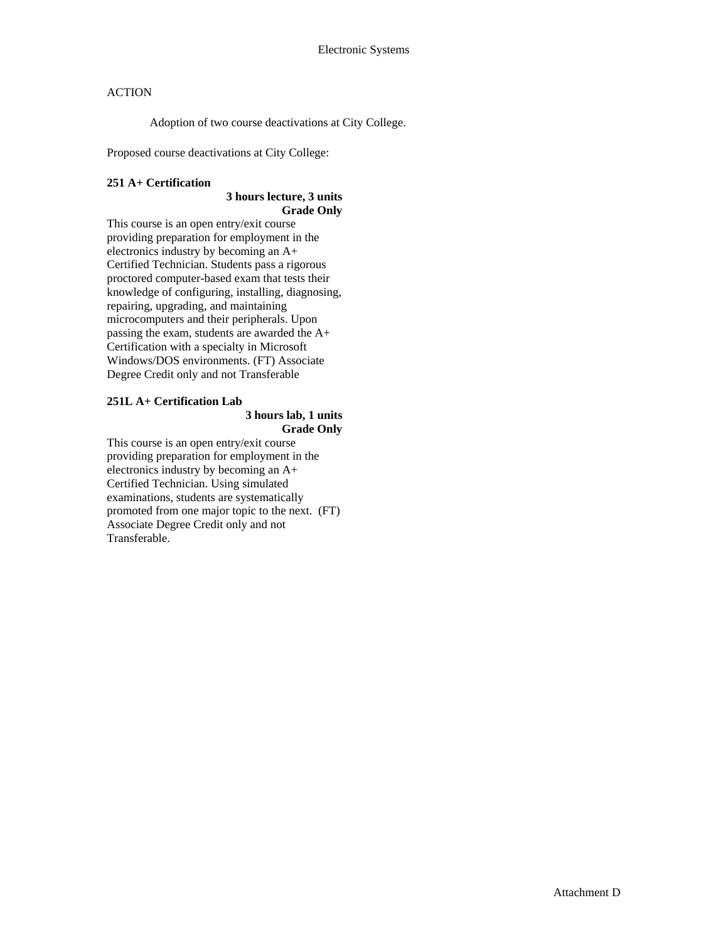Adoption of two course deactivations at City College.

Proposed course deactivations at City College:

## **251 A+ Certification**

## **3 hours lecture, 3 units Grade Only**

This course is an open entry/exit course providing preparation for employment in the electronics industry by becoming an A+ Certified Technician. Students pass a rigorous proctored computer-based exam that tests their knowledge of configuring, installing, diagnosing, repairing, upgrading, and maintaining microcomputers and their peripherals. Upon passing the exam, students are awarded the A+ Certification with a specialty in Microsoft Windows/DOS environments. (FT) Associate Degree Credit only and not Transferable

#### **251L A+ Certification Lab 3 hours lab, 1 units Grade Only**

This course is an open entry/exit course providing preparation for employment in the electronics industry by becoming an A+ Certified Technician. Using simulated examinations, students are systematically promoted from one major topic to the next. (FT) Associate Degree Credit only and not Transferable.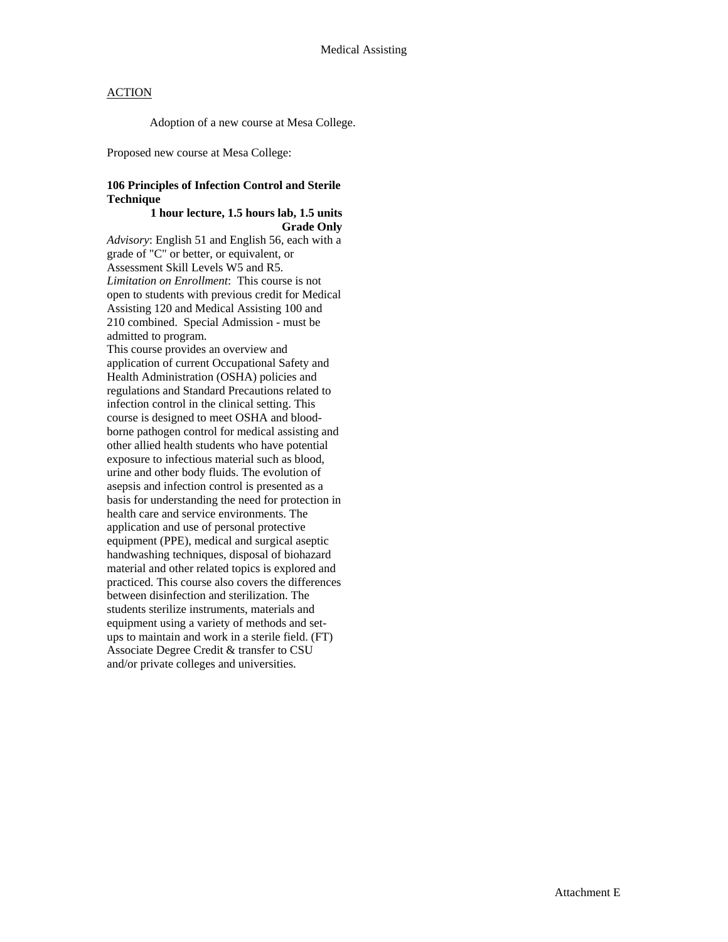Adoption of a new course at Mesa College.

Proposed new course at Mesa College:

#### **106 Principles of Infection Control and Sterile Technique**

#### **1 hour lecture, 1.5 hours lab, 1.5 units Grade Only**

*Advisory*: English 51 and English 56, each with a grade of "C" or better, or equivalent, or Assessment Skill Levels W5 and R5. *Limitation on Enrollment*: This course is not open to students with previous credit for Medical Assisting 120 and Medical Assisting 100 and 210 combined. Special Admission - must be admitted to program.

This course provides an overview and application of current Occupational Safety and Health Administration (OSHA) policies and regulations and Standard Precautions related to infection control in the clinical setting. This course is designed to meet OSHA and bloodborne pathogen control for medical assisting and other allied health students who have potential exposure to infectious material such as blood, urine and other body fluids. The evolution of asepsis and infection control is presented as a basis for understanding the need for protection in health care and service environments. The application and use of personal protective equipment (PPE), medical and surgical aseptic handwashing techniques, disposal of biohazard material and other related topics is explored and practiced. This course also covers the differences between disinfection and sterilization. The students sterilize instruments, materials and equipment using a variety of methods and setups to maintain and work in a sterile field. (FT) Associate Degree Credit & transfer to CSU and/or private colleges and universities.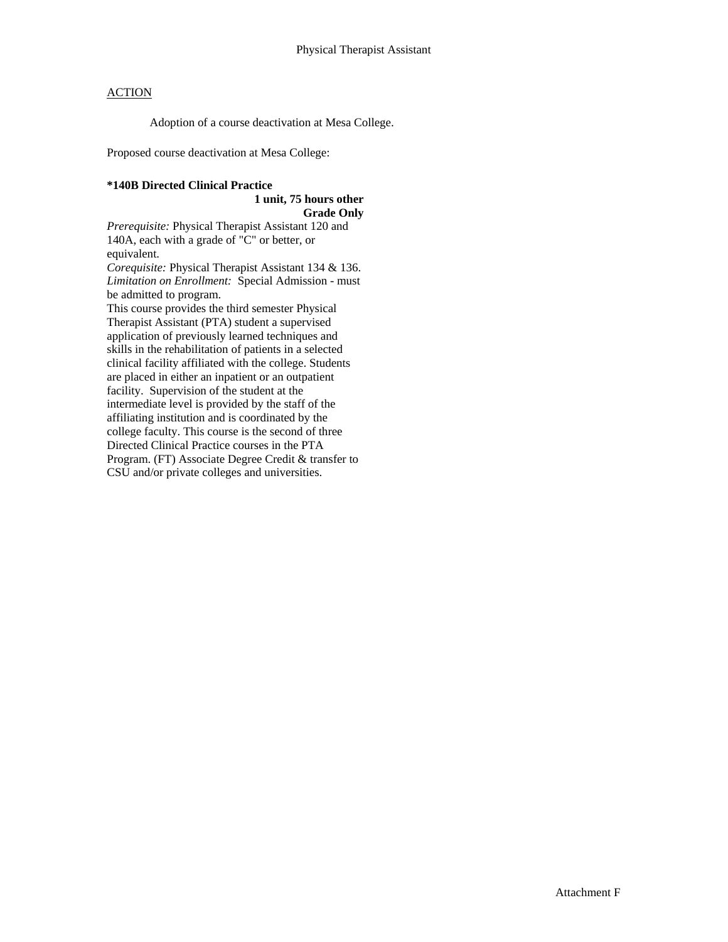Adoption of a course deactivation at Mesa College.

Proposed course deactivation at Mesa College:

#### **\*140B Directed Clinical Practice**

#### **1 unit, 75 hours other Grade Only**

*Prerequisite:* Physical Therapist Assistant 120 and 140A, each with a grade of "C" or better, or equivalent.

*Corequisite:* Physical Therapist Assistant 134 & 136. *Limitation on Enrollment:* Special Admission - must be admitted to program.

This course provides the third semester Physical Therapist Assistant (PTA) student a supervised application of previously learned techniques and skills in the rehabilitation of patients in a selected clinical facility affiliated with the college. Students are placed in either an inpatient or an outpatient facility. Supervision of the student at the intermediate level is provided by the staff of the affiliating institution and is coordinated by the college faculty. This course is the second of three Directed Clinical Practice courses in the PTA Program. (FT) Associate Degree Credit & transfer to CSU and/or private colleges and universities.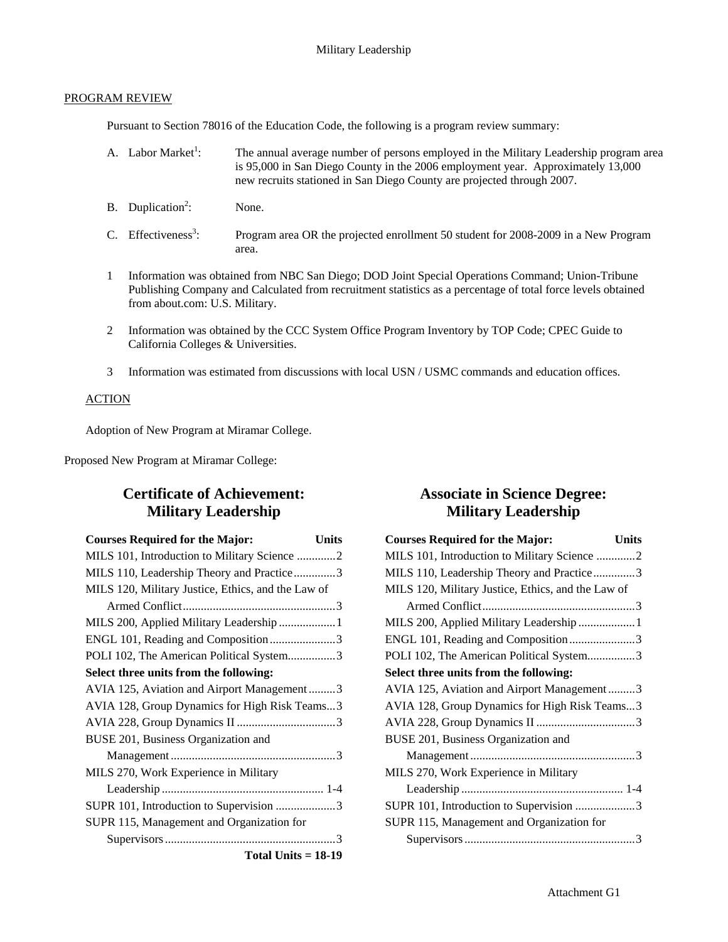## PROGRAM REVIEW

Pursuant to Section 78016 of the Education Code, the following is a program review summary:

- A. Labor Market $^1$ : : The annual average number of persons employed in the Military Leadership program area is 95,000 in San Diego County in the 2006 employment year. Approximately 13,000 new recruits stationed in San Diego County are projected through 2007.
- $B.$  Duplication<sup>2</sup>: None.
- C. Effectiveness<sup>3</sup>: : Program area OR the projected enrollment 50 student for 2008-2009 in a New Program area.
- 1 Information was obtained from NBC San Diego; DOD Joint Special Operations Command; Union-Tribune Publishing Company and Calculated from recruitment statistics as a percentage of total force levels obtained from about.com: U.S. Military.
- 2 Information was obtained by the CCC System Office Program Inventory by TOP Code; CPEC Guide to California Colleges & Universities.
- 3 Information was estimated from discussions with local USN / USMC commands and education offices.

## **ACTION**

Adoption of New Program at Miramar College.

Proposed New Program at Miramar College:

# **Certificate of Achievement: Military Leadership**

| <b>Courses Required for the Major:</b>             | Units |
|----------------------------------------------------|-------|
| MILS 101, Introduction to Military Science 2       |       |
| MILS 110, Leadership Theory and Practice3          |       |
| MILS 120, Military Justice, Ethics, and the Law of |       |
|                                                    |       |
| MILS 200, Applied Military Leadership  1           |       |
| ENGL 101, Reading and Composition3                 |       |
| POLI 102, The American Political System3           |       |
| Select three units from the following:             |       |
| AVIA 125, Aviation and Airport Management3         |       |
| AVIA 128, Group Dynamics for High Risk Teams3      |       |
|                                                    |       |
| BUSE 201, Business Organization and                |       |
|                                                    |       |
| MILS 270, Work Experience in Military              |       |
|                                                    |       |
| SUPR 101, Introduction to Supervision 3            |       |
| SUPR 115, Management and Organization for          |       |
|                                                    |       |
| Total Units $= 18-19$                              |       |

# **Associate in Science Degree: Military Leadership**

| <b>Courses Required for the Major:</b><br><b>Units</b> |
|--------------------------------------------------------|
| MILS 101, Introduction to Military Science 2           |
| MILS 110, Leadership Theory and Practice3              |
| MILS 120, Military Justice, Ethics, and the Law of     |
|                                                        |
| MILS 200, Applied Military Leadership  1               |
| ENGL 101, Reading and Composition 3                    |
| POLI 102, The American Political System3               |
| Select three units from the following:                 |
| AVIA 125, Aviation and Airport Management3             |
| AVIA 128, Group Dynamics for High Risk Teams3          |
|                                                        |
| BUSE 201, Business Organization and                    |
|                                                        |
| MILS 270, Work Experience in Military                  |
|                                                        |
| SUPR 101, Introduction to Supervision 3                |
| SUPR 115, Management and Organization for              |
|                                                        |